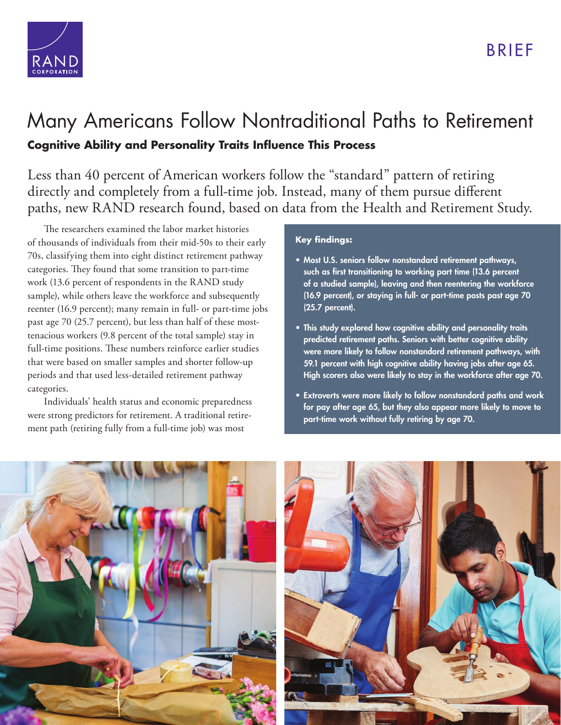

## [Many Americans Follow Nontraditional Paths to Retirement](https://www.rand.org/pubs/research_briefs/RB10022.html) **Cognitive Ability and Personality Traits Influence This Process**

Less than 40 percent of American workers follow the "standard" pattern of retiring directly and completely from a full-time job. Instead, many of them pursue different paths, new RAND research found, based on data from the Health and Retirement Study.

The researchers examined the labor market histories of thousands of individuals from their mid-50s to their early 70s, classifying them into eight distinct retirement pathway categories. They found that some transition to part-time work (13.6 percent of respondents in the RAND study sample), while others leave the workforce and subsequently reenter (16.9 percent); many remain in full- or part-time jobs past age 70 (25.7 percent), but less than half of these mosttenacious workers (9.8 percent of the total sample) stay in full-time positions. These numbers reinforce earlier studies that were based on smaller samples and shorter follow-up periods and that used less-detailed retirement pathway categories.

Individuals' health status and economic preparedness were strong predictors for retirement. A traditional retirement path (retiring fully from a full-time job) was most

## **Key findings:**

- Most U.S. seniors follow nonstandard retirement pathways, such as first transitioning to working part time (13.6 percent of a studied sample), leaving and then reentering the workforce (16.9 percent), or staying in full- or part-time posts past age 70 (25.7 percent).
- This study explored how cognitive ability and personality traits predicted retirement paths. Seniors with better cognitive ability were more likely to follow nonstandard retirement pathways, with 59.1 percent with high cognitive ability having jobs after age 65. High scorers also were likely to stay in the workforce after age 70.
- Extroverts were more likely to follow nonstandard paths and work for pay after age 65, but they also appear more likely to move to part-time work without fully retiring by age 70.



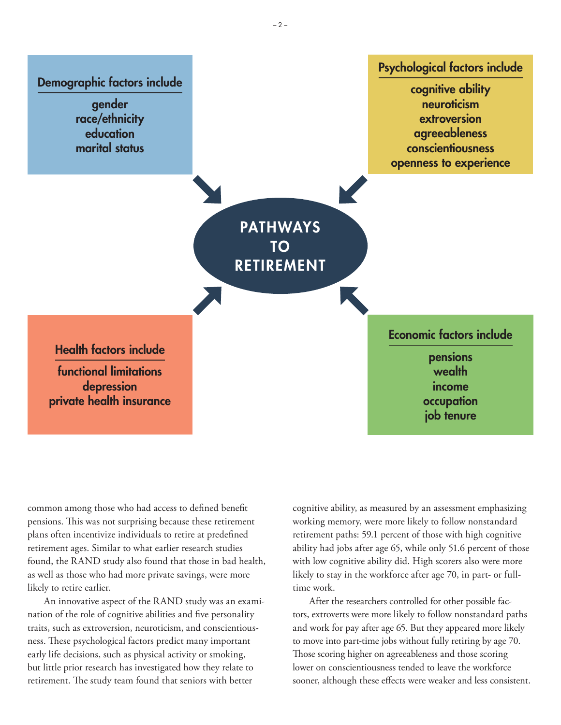PATHWAYS TO RETIREMENT Demographic factors include gender race/ethnicity education marital status cognitive ability neuroticism extroversion agreeableness conscientiousness openness to experience

Health factors include

functional limitations depression private health insurance Economic factors include

Psychological factors include

pensions wealth income occupation job tenure

common among those who had access to defined benefit pensions. This was not surprising because these retirement plans often incentivize individuals to retire at predefined retirement ages. Similar to what earlier research studies found, the RAND study also found that those in bad health, as well as those who had more private savings, were more likely to retire earlier.

An innovative aspect of the RAND study was an examination of the role of cognitive abilities and five personality traits, such as extroversion, neuroticism, and conscientiousness. These psychological factors predict many important early life decisions, such as physical activity or smoking, but little prior research has investigated how they relate to retirement. The study team found that seniors with better

cognitive ability, as measured by an assessment emphasizing working memory, were more likely to follow nonstandard retirement paths: 59.1 percent of those with high cognitive ability had jobs after age 65, while only 51.6 percent of those with low cognitive ability did. High scorers also were more likely to stay in the workforce after age 70, in part- or fulltime work.

After the researchers controlled for other possible factors, extroverts were more likely to follow nonstandard paths and work for pay after age 65. But they appeared more likely to move into part-time jobs without fully retiring by age 70. Those scoring higher on agreeableness and those scoring lower on conscientiousness tended to leave the workforce sooner, although these effects were weaker and less consistent.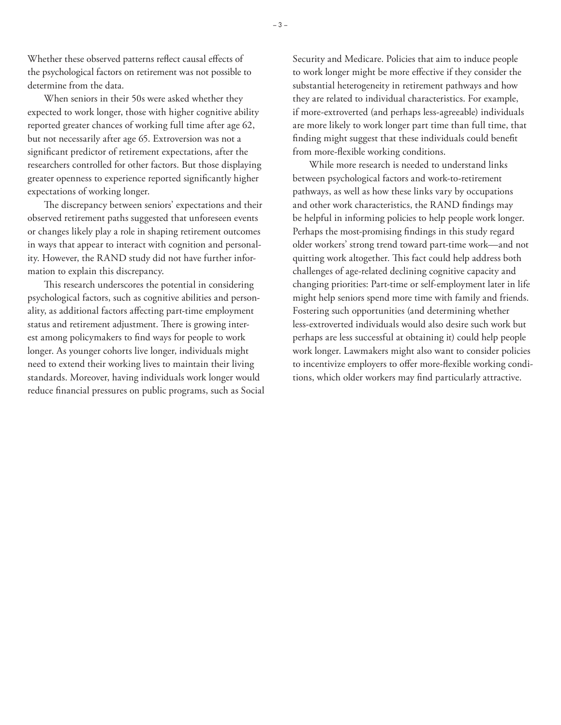Whether these observed patterns reflect causal effects of the psychological factors on retirement was not possible to determine from the data.

When seniors in their 50s were asked whether they expected to work longer, those with higher cognitive ability reported greater chances of working full time after age 62, but not necessarily after age 65. Extroversion was not a significant predictor of retirement expectations, after the researchers controlled for other factors. But those displaying greater openness to experience reported significantly higher expectations of working longer.

The discrepancy between seniors' expectations and their observed retirement paths suggested that unforeseen events or changes likely play a role in shaping retirement outcomes in ways that appear to interact with cognition and personality. However, the RAND study did not have further information to explain this discrepancy.

This research underscores the potential in considering psychological factors, such as cognitive abilities and personality, as additional factors affecting part-time employment status and retirement adjustment. There is growing interest among policymakers to find ways for people to work longer. As younger cohorts live longer, individuals might need to extend their working lives to maintain their living standards. Moreover, having individuals work longer would reduce financial pressures on public programs, such as Social

Security and Medicare. Policies that aim to induce people to work longer might be more effective if they consider the substantial heterogeneity in retirement pathways and how they are related to individual characteristics. For example, if more-extroverted (and perhaps less-agreeable) individuals are more likely to work longer part time than full time, that finding might suggest that these individuals could benefit from more-flexible working conditions.

While more research is needed to understand links between psychological factors and work-to-retirement pathways, as well as how these links vary by occupations and other work characteristics, the RAND findings may be helpful in informing policies to help people work longer. Perhaps the most-promising findings in this study regard older workers' strong trend toward part-time work—and not quitting work altogether. This fact could help address both challenges of age-related declining cognitive capacity and changing priorities: Part-time or self-employment later in life might help seniors spend more time with family and friends. Fostering such opportunities (and determining whether less-extroverted individuals would also desire such work but perhaps are less successful at obtaining it) could help people work longer. Lawmakers might also want to consider policies to incentivize employers to offer more-flexible working conditions, which older workers may find particularly attractive.